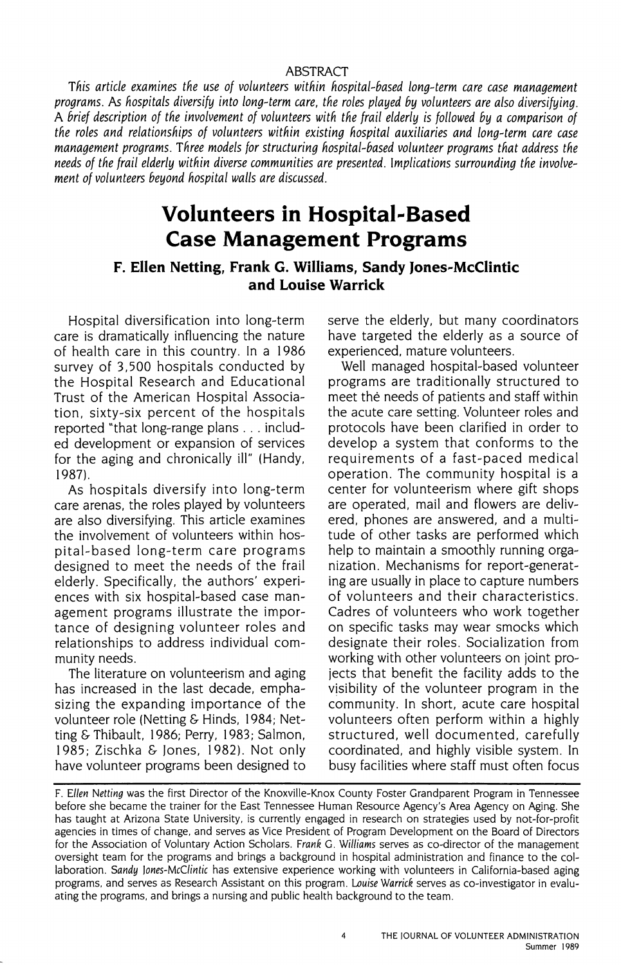#### ABSTRACT

*Tnis article examines tne use of volunteers witnin nospital-based long-term care case management programs.* As *nospitals diversify into long-term care, tne roles played by volunteers are also diversifying.*  A *brief description of tne involvement of volunteers witn tne frail elderly* is *followed by a comparison of tne roles and relationsnips of volunteers witnin existing nospital auxiliaries and long-term care case management programs. Tnree models for structuring nospital-based volunteer programs tnat address tne needs of tne frail elderly witnin diverse communities are presented. Implications surrounding tne involvement of volunteers beyond nospital walls are discussed.* 

# **Volunteers in Hospital-Based Case Management Programs**

# **F. Ellen Netting, Frank G. Williams, Sandy Jones-Mcclintic and Louise Warrick**

Hospital diversification into long-term care is dramatically influencing the nature of health care in this country. In a 1986 survey of 3,500 hospitals conducted by the Hospital Research and Educational Trust of the American Hospital Association, sixty-six percent of the hospitals reported "that long-range plans ... included development or expansion of services for the aging and chronically ill" (Handy, **1987).** 

As hospitals diversify into long-term care arenas, the roles played by volunteers are also diversifying. This article examines the involvement of volunteers within hospital-based long-term care programs designed to meet the needs of the frail elderly. Specifically, the authors' experiences with six hospital-based case management programs illustrate the importance of designing volunteer roles and relationships to address individual community needs.

The literature on volunteerism and aging has increased in the last decade, emphasizing the expanding importance of the volunteer role (Netting & Hinds, 1984; Netting & Thibault, 1986; Perry, 1983; Salmon, 1985; Zischka & Jones, 1982). Not only have volunteer programs been designed to

serve the elderly, but many coordinators have targeted the elderly as a source of experienced, mature volunteers.

Well managed hospital-based volunteer programs are traditionally structured to meet the needs of patients and staff within the acute care setting. Volunteer roles and protocols have been clarified in order to develop a system that conforms to the requirements of a fast-paced medical operation. The community hospital is a center for volunteerism where gift shops are operated, mail and flowers are delivered, phones are answered, and a multitude of other tasks are performed which help to maintain a smoothly running organization. Mechanisms for report-generating are usually in place to capture numbers of volunteers and their characteristics. Cadres of volunteers who work together on specific tasks may wear smocks which designate their roles. Socialization from working with other volunteers on joint projects that benefit the facility adds to the visibility of the volunteer program in the community. In short, acute care hospital volunteers often perform within a highly structured, well documented, carefully coordinated, and highly visible system. In busy facilities where staff must often focus

F. *Ellen Netting* was the first Director of the Knoxville-Knox County Foster Grandparent Program in Tennessee before she became the trainer for the East Tennessee Human Resource Agency's Area Agency on Aging. She has taught at Arizona State University, is currently engaged in research on strategies used by not-for-profit agencies in times of change, and serves as Vice President of Program Development on the Board of Directors for the Association of Voluntary Action Scholars. *Frank* G. *Williams* serves as co-director of the management oversight team for the programs and brings a background in hospital administration and finance to the collaboration. *Sandy lones-McC/intic* has extensive experience working with volunteers in California-based aging programs, and serves as Research Assistant on this program. Louise Warrick serves as co-investigator in evaluating the programs, and brings a nursing and public health background to the team.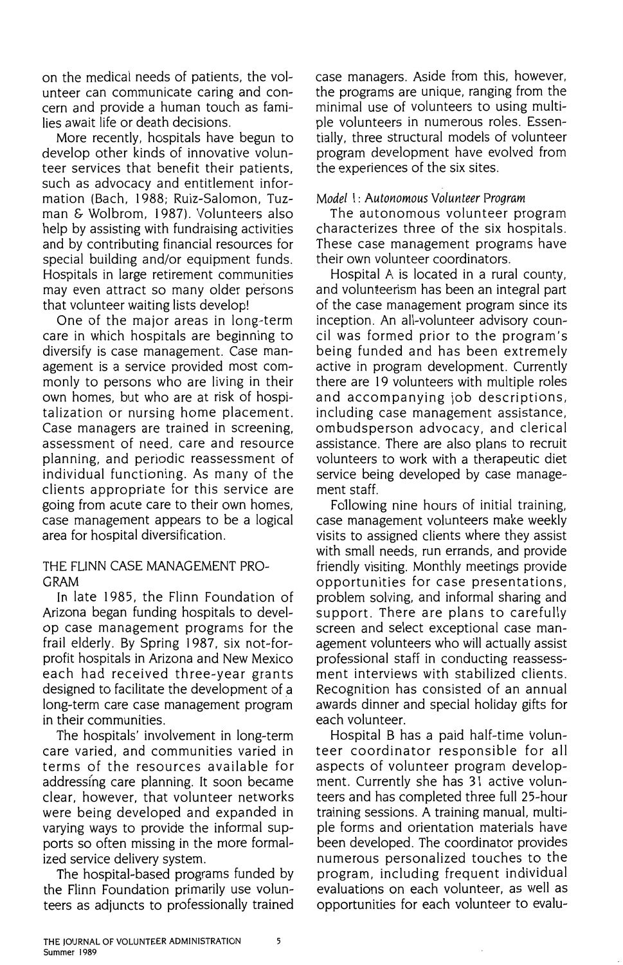on the medical needs of patients, the volunteer can communicate caring and concern and provide a human touch as families await life or death decisions.

More recently, hospitals have begun to develop other kinds of innovative volunteer services that benefit their patients, such as advocacy and entitlement information (Bach, 1988; Ruiz-Salomon, Tuzman & Wolbrom, 1987). Volunteers also help by assisting with fundraising activities and by contributing financial resources for special building and/or equipment funds. Hospitals in large retirement communities may even attract so many older persons that volunteer waiting lists develop!

One of the major areas in long-term care in which hospitals are beginning to diversify is case management. Case management is a service provided most commonly to persons who are living in their own homes, but who are at risk of hospitalization or nursing home placement. Case managers are trained in screening, assessment of need, care and resource planning, and periodic reassessment of individual functioning. As many of the clients appropriate for this service are going from acute care to their own homes, case management appears to be a logical area for hospital diversification.

THE FLINN CASE MANAGEMENT PRO-**GRAM** 

In late 1985, the Flinn Foundation of Arizona began funding hospitals to develop case management programs for the frail elderly. By Spring 1987, six not-forprofit hospitals in Arizona and New Mexico each had received three-year grants designed to facilitate the development of a long-term care case management program in their communities.

The hospitals' involvement in long-term care varied, and communities varied in terms of the resources available for addressing care planning. It soon became clear, however, that volunteer networks were being developed and expanded in varying ways to provide the informal supports so often missing in the more formalized service delivery system.

The hospital-based programs funded by the Flinn Foundation primarily use volunteers as adjuncts to professionally trained case managers. Aside from this, however, the programs are unique, ranging from the minimal use of volunteers to using multiple volunteers in numerous roles. Essentially, three structural models of volunteer program development have evolved from the experiences of the six sites.

#### *Model* I: *Autonomous Volunteer Program*

The autonomous volunteer program characterizes three of the six hospitals. These case management programs have their own volunteer coordinators.

Hospital A is located in a rural county, and volunteerism has been an integral part of the case management program since its inception. An all-volunteer advisory council was formed prior to the program's being funded and has been extremely active in program development. Currently there are 19 volunteers with multiple roles and accompanying job descriptions, including case management assistance, ombudsperson advocacy, and clerical assistance. There are also plans to recruit volunteers to work with a therapeutic diet service being developed by case management staff.

Following nine hours of initial training, case management volunteers make weekly visits to assigned clients where they assist with small needs, run errands, and provide friendly visiting. Monthly meetings provide opportunities for case presentations, problem solving, and informal sharing and support. There are plans to carefully screen and select exceptional case management volunteers who will actually assist professional staff in conducting reassessment interviews with stabilized clients. Recognition has consisted of an annual awards dinner and special holiday gifts for each volunteer.

Hospital B has a paid half-time volunteer coordinator responsible for all aspects of volunteer program development. Currently she has 31 active volunteers and has completed three full 25-hour training sessions. A training manual. multiple forms and orientation materials have been developed. The coordinator provides numerous personalized touches to the program, including frequent individual evaluations on each volunteer, as well as opportunities for each volunteer to evalu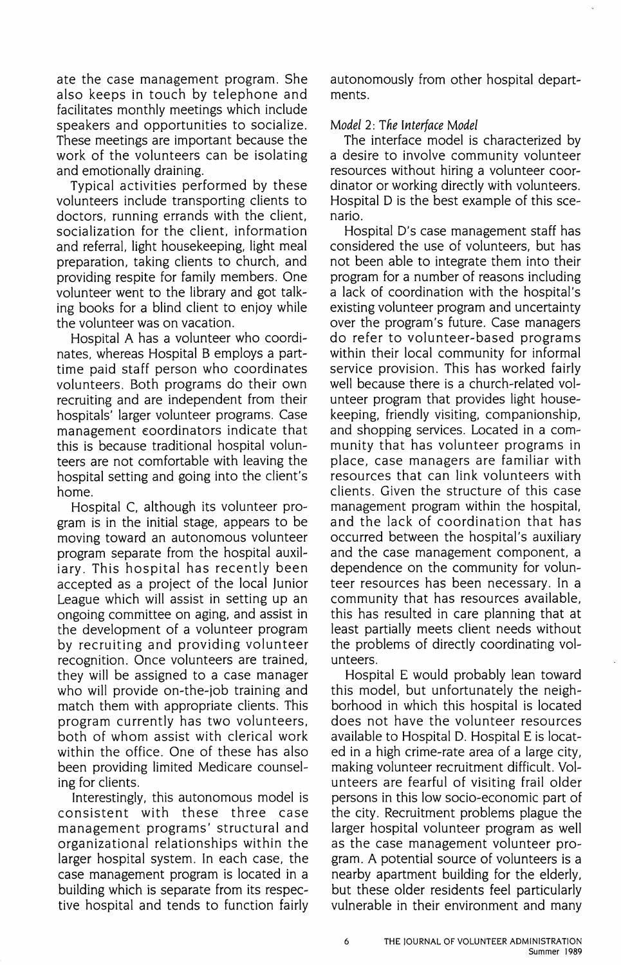ate the case management program. She also keeps in touch by telephone and facilitates monthly meetings which include speakers and opportunities to socialize. These meetings are important because the work of the volunteers can be isolating and emotionally draining.

Typical activities performed by these volunteers include transporting clients to doctors. running errands with the client. socialization for the client, information and referral, light housekeeping, light meal preparation, taking clients to church, and providing respite for family members. One volunteer went to the library and got talking books for a blind client to enjoy while the volunteer was on vacation.

Hospital A has a volunteer who coordinates, whereas Hospital B employs a parttime paid staff person who coordinates volunteers. Both programs do their own recruiting and are independent from their hospitals' larger volunteer programs. Case management eoordinators indicate that this is because traditional hospital volunteers are not comfortable with leaving the hospital setting and going into the client's home.

Hospital C, although its volunteer program is in the initial stage, appears to be moving toward an autonomous volunteer program separate from the hospital auxiliary. This hospital has recently been accepted as a project of the local Junior League which will assist in setting up an ongoing committee on aging, and assist in the development of a volunteer program by recruiting and providing volunteer recognition. Once volunteers are trained, they will be assigned to a case manager who will provide on-the-job training and match them with appropriate clients. This program currently has two volunteers, both of whom assist with clerical work within the office. One of these has also been providing limited Medicare counseling for clients.

Interestingly, this autonomous model is consistent with these three case management programs' structural and organizational relationships within the larger hospital system. In each case, the case management program is located in a building which is separate from its respective hospital and tends to function fairly autonomously from other hospital departments.

## *Model* 2: *Tlie Interface Model*

The interface model is characterized by a desire to involve community volunteer resources without hiring a volunteer coordinator or working directly with volunteers. Hospital D is the best example of this scenario.

Hospital D's case management staff has considered the use of volunteers. but has not been able to integrate them into their program for a number of reasons including a lack of coordination with the hospital's existing volunteer program and uncertainty over the program's future. Case managers do refer to volunteer-based programs within their local community for informal service provision. This has worked fairly well because there is a church-related volunteer program that provides light housekeeping, friendly visiting, companionship, and shopping services. Located in a community that has volunteer programs in place, case managers are familiar with resources that can link volunteers with clients. Given the structure of this case management program within the hospital, and the lack of coordination that has occurred between the hospital's auxiliary and the case management component, a dependence on the community for volunteer resources has been necessary. In a community that has resources available, this has resulted in care planning that at least partially meets client needs without the problems of directly coordinating volunteers.

Hospital E would probably lean toward this model, but unfortunately the neighborhood in which this hospital is located does not have the volunteer resources available to Hospital D. Hospital Eis located in a high crime-rate area of a large city, making volunteer recruitment difficult. Volunteers are fearful of visiting frail older persons in this low socio-economic part of the city. Recruitment problems plague the larger hospital volunteer program as well as the case management volunteer program. A potential source of volunteers is a nearby apartment building for the elderly, but these older residents feel particularly vulnerable in their environment and many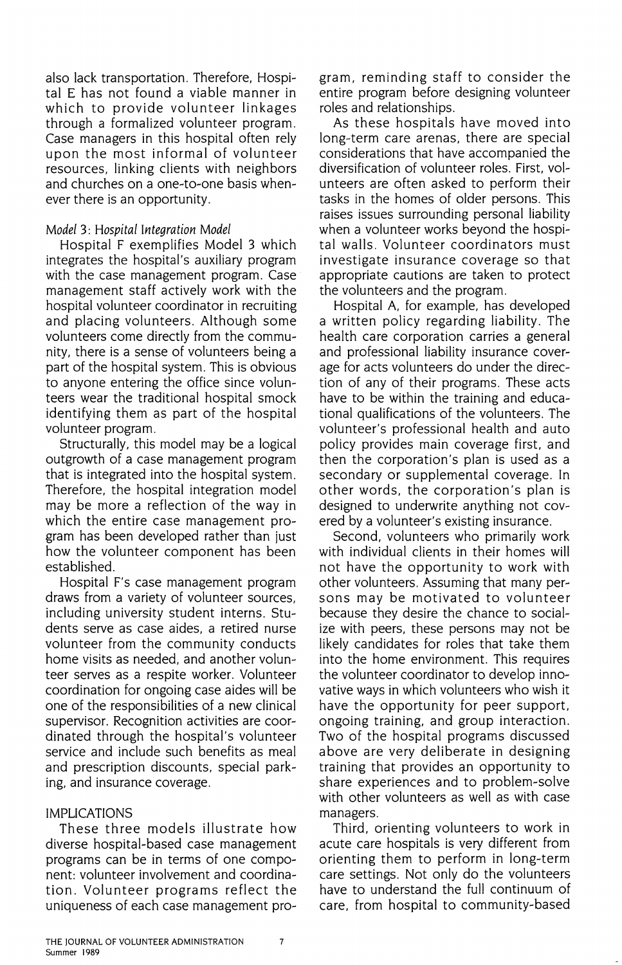also lack transportation. Therefore, Hospital E has not found a viable manner in which to provide volunteer linkages through a formalized volunteer program. Case managers in this hospital often rely upon the most informal of volunteer resources, linking clients with neighbors and churches on a one-to-one basis whenever there is an opportunity.

### *Model* 3: *Hospital Integration Model*

Hospital F exemplifies Model 3 which integrates the hospital's auxiliary program with the case management program. Case management staff actively work with the hospital volunteer coordinator in recruiting and placing volunteers. Although some volunteers come directly from the community, there is a sense of volunteers being a part of the hospital system. This is obvious to anyone entering the office since volunteers wear the traditional hospital smock identifying them as part of the hospital volunteer program.

Structurally, this model may be a logical outgrowth of a case management program that is integrated into the hospital system. Therefore, the hospital integration model may be more a reflection of the way in which the entire case management program has been developed rather than just how the volunteer component has been established.

Hospital F's case management program draws from a variety of volunteer sources, including university student interns. Students serve as case aides, a retired nurse volunteer from the community conducts home visits as needed, and another volunteer serves as a respite worker. Volunteer coordination for ongoing case aides will be one of the responsibilities of a new clinical supervisor. Recognition activities are coordinated through the hospital's volunteer service and include such benefits as meal and prescription discounts, special parking, and insurance coverage.

# IMPLICATIONS

These three models illustrate how diverse hospital-based case management programs can be in terms of one component: volunteer involvement and coordination. Volunteer programs reflect the uniqueness of each case management program, reminding staff to consider the entire program before designing volunteer roles and relationships.

As these hospitals have moved into long-term care arenas, there are special considerations that have accompanied the diversification of volunteer roles. First. volunteers are often asked to perform their tasks in the homes of older persons. This raises issues surrounding personal liability when a volunteer works beyond the hospital walls. Volunteer coordinators must investigate insurance coverage so that appropriate cautions are taken to protect the volunteers and the program.

Hospital A, for example, has developed a written policy regarding liability. The health care corporation carries a general and professional liability insurance coverage for acts volunteers do under the direction of any of their programs. These acts have to be within the training and educational qualifications of the volunteers. The volunteer's professional health and auto policy provides main coverage first, and then the corporation's plan is used as a secondary or supplemental coverage. In other words, the corporation's plan is designed to underwrite anything not covered by a volunteer's existing insurance.

Second, volunteers who primarily work with individual clients in their homes will not have the opportunity to work with other volunteers. Assuming that many persons may be motivated to volunteer because they desire the chance to socialize with peers, these persons may not be likely candidates for roles that take them into the home environment. This requires the volunteer coordinator to develop innovative ways in which volunteers who wish it have the opportunity for peer support, ongoing training, and group interaction. Two of the hospital programs discussed above are very deliberate in designing training that provides an opportunity to share experiences and to problem-solve with other volunteers as well as with case managers.

Third, orienting volunteers to work in acute care hospitals is very different from orienting them to perform in long-term care settings. Not only do the volunteers have to understand the full continuum of care, from hospital to community-based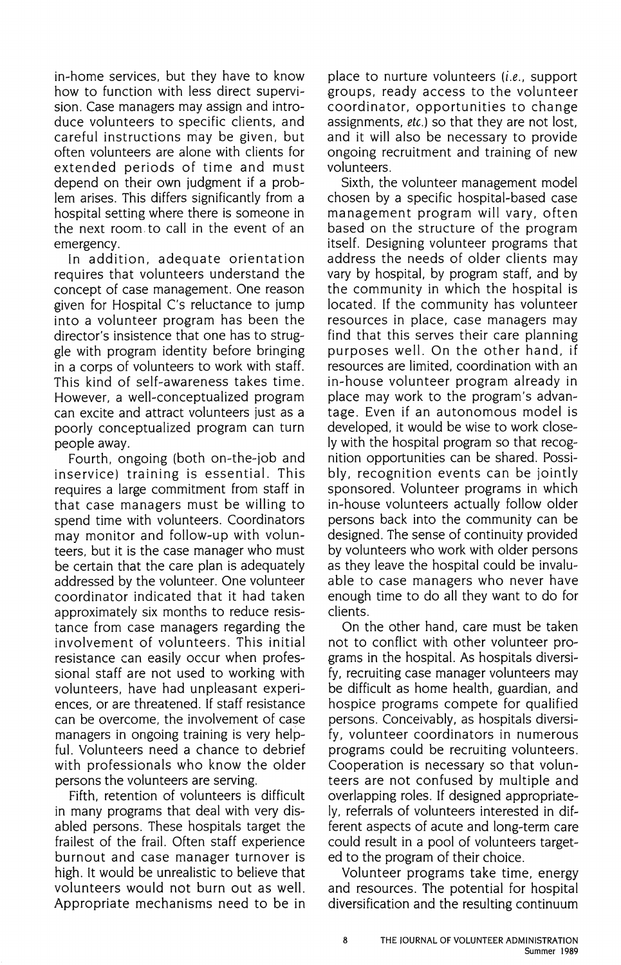in-home services, but they have to know how to function with less direct supervision. Case managers may assign and introduce volunteers to specific clients, and careful instructions may be given, but often volunteers are alone with clients for extended periods of time and must depend on their own judgment if a problem arises. This differs significantly from a hospital setting where there is someone in the next room. to call in the event of an emergency.

In addition, adequate orientation requires that volunteers understand the concept of case management. One reason given for Hospital C's reluctance to jump into a volunteer program has been the director's insistence that one has to struggle with program identity before bringing in a corps of volunteers to work with staff. This kind of self-awareness takes time. However, a well-conceptualized program can excite and attract volunteers just as a poorly conceptualized program can turn people away.

Fourth, ongoing (both on-the-job and inservice) training is essential. This requires a large commitment from staff in that case managers must be willing to spend time with volunteers. Coordinators may monitor and follow-up with volunteers, but it is the case manager who must be certain that the care plan is adequately addressed by the volunteer. One volunteer coordinator indicated that it had taken approximately six months to reduce resistance from case managers regarding the involvement of volunteers. This initial resistance can easily occur when professional staff are not used to working with volunteers, have had unpleasant experiences, or are threatened. If staff resistance can be overcome, the involvement of case managers in ongoing training is very helpful. Volunteers need a chance to debrief with professionals who know the older persons the volunteers are serving.

Fifth, retention of volunteers is difficult in many programs that deal with very disabled persons. These hospitals target the frailest of the frail. Often staff experience burnout and case manager turnover is high. It would be unrealistic to believe that volunteers would not burn out as well. Appropriate mechanisms need to be in

place to nurture volunteers (i.e., support groups, ready access to the volunteer coordinator, opportunities to change assignments, etc.) so that they are not lost. and it will also be necessary to provide ongoing recruitment and training of new volunteers.

Sixth, the volunteer management model chosen by a specific hospital-based case management program will vary, often based on the structure of the program itself. Designing volunteer programs that address the needs of older clients may vary by hospital. by program staff, and by the community in which the hospital is located. If the community has volunteer resources in place, case managers may find that this serves their care planning purposes well. On the other hand, if resources are limited, coordination with an in-house volunteer program already in place may work to the program's advantage. Even if an autonomous model is developed, it would be wise to work closely with the hospital program so that recognition opportunities can be shared. Possibly, recognition events can be jointly sponsored. Volunteer programs in which in-house volunteers actually follow older persons back into the community can be designed. The sense of continuity provided by volunteers who work with older persons as they leave the hospital could be invaluable to case managers who never have enough time to do all they want to do for clients.

On the other hand, care must be taken not to conflict with other volunteer programs in the hospital. As hospitals diversify, recruiting case manager volunteers may be difficult as home health, guardian, and hospice programs compete for qualified persons. Conceivably, as hospitals diversify, volunteer coordinators in numerous programs could be recruiting volunteers. Cooperation is necessary so that volunteers are not confused by multiple and overlapping roles. If designed appropriately, referrals of volunteers interested in different aspects of acute and long-term care could result in a pool of volunteers targeted to the program of their choice.

Volunteer programs take time, energy and resources. The potential for hospital diversification and the resulting continuum